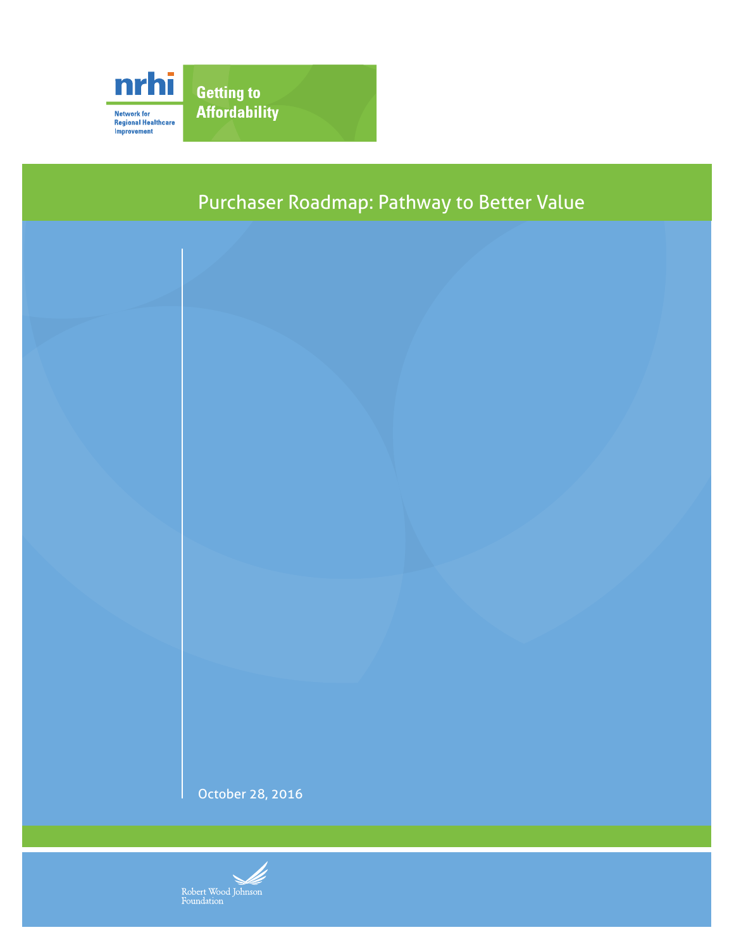



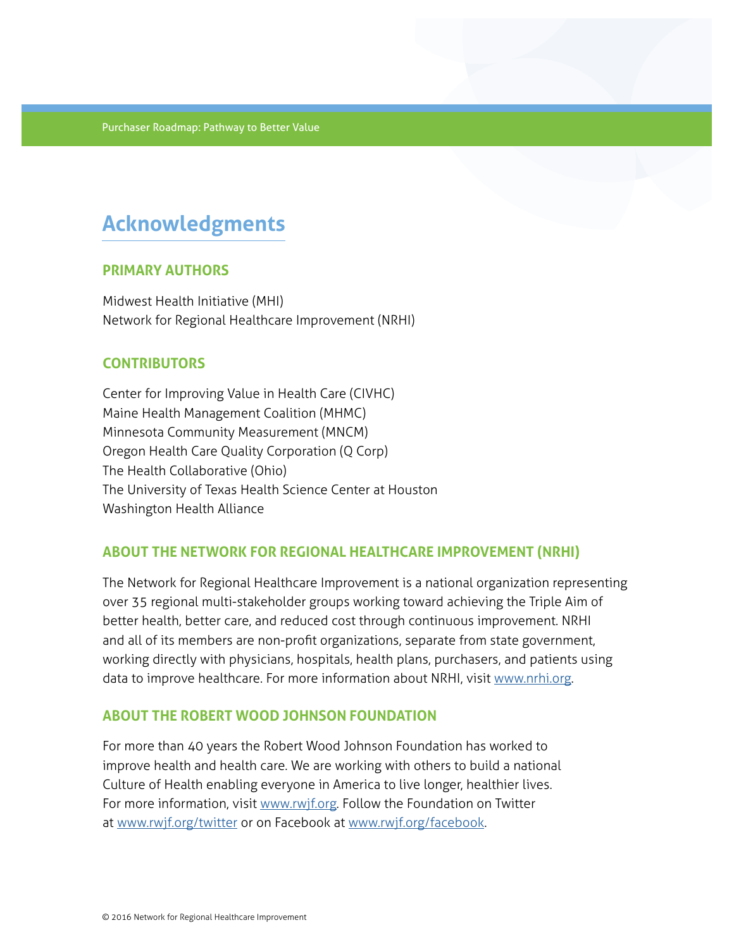# **Acknowledgments**

## **PRIMARY AUTHORS**

Midwest Health Initiative (MHI) Network for Regional Healthcare Improvement (NRHI)

## **CONTRIBUTORS**

Center for Improving Value in Health Care (CIVHC) Maine Health Management Coalition (MHMC) Minnesota Community Measurement (MNCM) Oregon Health Care Quality Corporation (Q Corp) The Health Collaborative (Ohio) The University of Texas Health Science Center at Houston Washington Health Alliance

## **ABOUT THE NETWORK FOR REGIONAL HEALTHCARE IMPROVEMENT (NRHI)**

The Network for Regional Healthcare Improvement is a national organization representing over 35 regional multi-stakeholder groups working toward achieving the Triple Aim of better health, better care, and reduced cost through continuous improvement. NRHI and all of its members are non-profit organizations, separate from state government, working directly with physicians, hospitals, health plans, purchasers, and patients using data to improve healthcare. For more information about NRHI, visit [www.nrhi.org.](http://www.nrhi.org)

## **ABOUT THE ROBERT WOOD JOHNSON FOUNDATION**

For more than 40 years the Robert Wood Johnson Foundation has worked to improve health and health care. We are working with others to build a national Culture of Health enabling everyone in America to live longer, healthier lives. For more information, visit www.rwif.org. Follow the Foundation on Twitter at [www.rwjf.org/twitter](http://www.rwjf.org/twitter) or on Facebook at [www.rwjf.org/facebook](http://www.rwjf.org/facebook).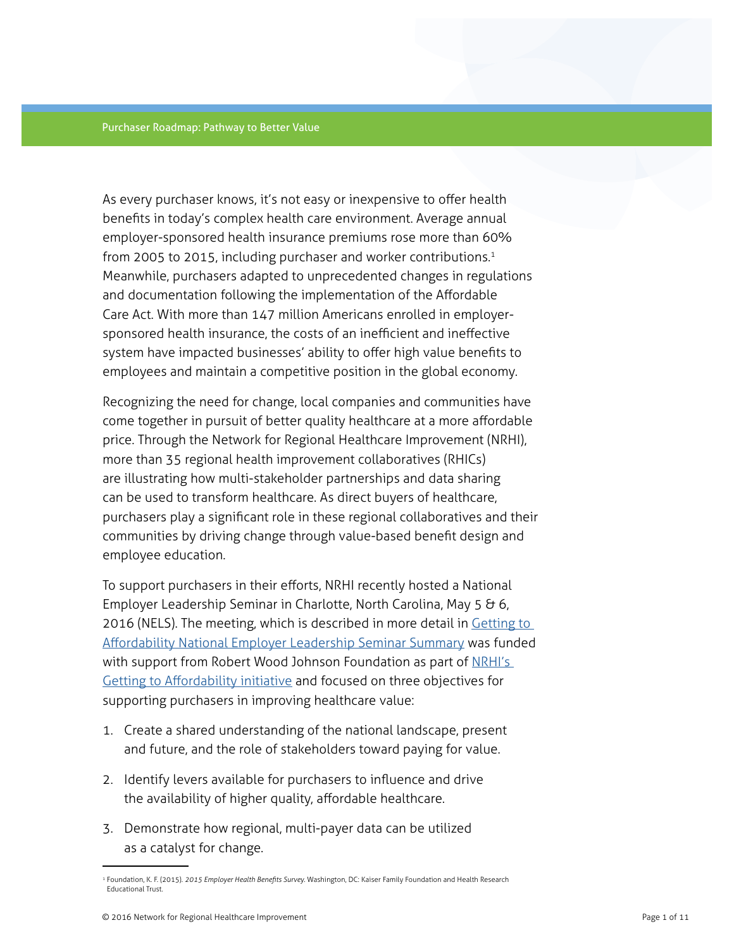As every purchaser knows, it's not easy or inexpensive to offer health benefits in today's complex health care environment. Average annual employer-sponsored health insurance premiums rose more than 60% from 2005 to 2015, including purchaser and worker contributions.<sup>1</sup> Meanwhile, purchasers adapted to unprecedented changes in regulations and documentation following the implementation of the Affordable Care Act. With more than 147 million Americans enrolled in employersponsored health insurance, the costs of an inefficient and ineffective system have impacted businesses' ability to offer high value benefits to employees and maintain a competitive position in the global economy.

Recognizing the need for change, local companies and communities have come together in pursuit of better quality healthcare at a more affordable price. Through the Network for Regional Healthcare Improvement (NRHI), more than 35 regional health improvement collaboratives (RHICs) are illustrating how multi-stakeholder partnerships and data sharing can be used to transform healthcare. As direct buyers of healthcare, purchasers play a significant role in these regional collaboratives and their communities by driving change through value-based benefit design and employee education.

To support purchasers in their efforts, NRHI recently hosted a National Employer Leadership Seminar in Charlotte, North Carolina, May 5 & 6, 2016 (NELS). The meeting, which is described in more detail in Getting to [Affordability National Employer Leadership Seminar Summary](http://www.nrhi.org/uploads/nels-summary-report-final.pdf) was funded with support from Robert Wood Johnson Foundation as part of NRHI's [Getting to Affordability initiative](http://www.nrhi.org/work/multi-region-innovation-pilots/tcoc) and focused on three objectives for supporting purchasers in improving healthcare value:

- 1. Create a shared understanding of the national landscape, present and future, and the role of stakeholders toward paying for value.
- 2. Identify levers available for purchasers to influence and drive the availability of higher quality, affordable healthcare.
- 3. Demonstrate how regional, multi-payer data can be utilized as a catalyst for change.

<sup>1</sup> Foundation, K. F. (2015). *2015 Employer Health Benefits Survey*. Washington, DC: Kaiser Family Foundation and Health Research Educational Trust.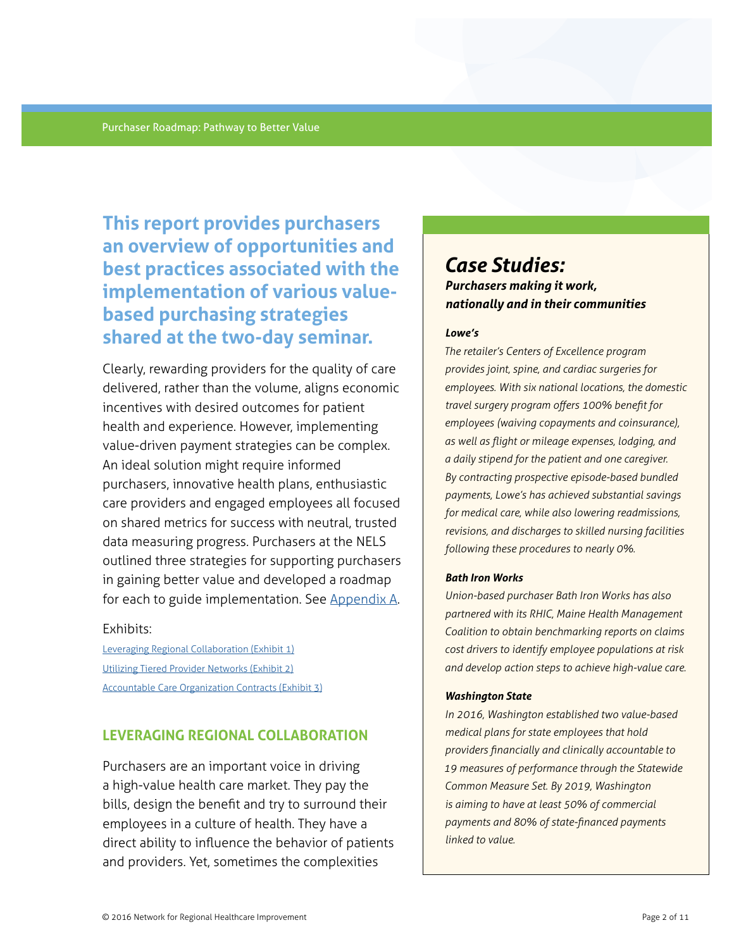**This report provides purchasers an overview of opportunities and best practices associated with the implementation of various valuebased purchasing strategies shared at the two-day seminar.** 

Clearly, rewarding providers for the quality of care delivered, rather than the volume, aligns economic incentives with desired outcomes for patient health and experience. However, implementing value-driven payment strategies can be complex. An ideal solution might require informed purchasers, innovative health plans, enthusiastic care providers and engaged employees all focused on shared metrics for success with neutral, trusted data measuring progress. Purchasers at the NELS outlined three strategies for supporting purchasers in gaining better value and developed a roadmap for each to guide implementation. See [Appendix A.](#page-10-0)

#### Exhibits:

[Leveraging Regional Collaboration \(Exhibit 1\)](#page-10-0) [Utilizing Tiered Provider Networks \(Exhibit 2\)](#page-11-0) [Accountable Care Organization Contracts \(Exhibit 3\)](#page-12-0)

## **LEVERAGING REGIONAL COLLABORATION**

Purchasers are an important voice in driving a high-value health care market. They pay the bills, design the benefit and try to surround their employees in a culture of health. They have a direct ability to influence the behavior of patients and providers. Yet, sometimes the complexities

# *Case Studies: Purchasers making it work, nationally and in their communities*

#### *Lowe's*

*The retailer's Centers of Excellence program provides joint, spine, and cardiac surgeries for employees. With six national locations, the domestic travel surgery program offers 100% benefit for employees (waiving copayments and coinsurance), as well as flight or mileage expenses, lodging, and a daily stipend for the patient and one caregiver. By contracting prospective episode-based bundled payments, Lowe's has achieved substantial savings for medical care, while also lowering readmissions, revisions, and discharges to skilled nursing facilities following these procedures to nearly 0%.* 

#### *Bath Iron Works*

*Union-based purchaser Bath Iron Works has also partnered with its RHIC, Maine Health Management Coalition to obtain benchmarking reports on claims cost drivers to identify employee populations at risk and develop action steps to achieve high-value care.* 

#### *Washington State*

*In 2016, Washington established two value-based medical plans for state employees that hold providers financially and clinically accountable to 19 measures of performance through the Statewide Common Measure Set. By 2019, Washington is aiming to have at least 50% of commercial payments and 80% of state-financed payments linked to value.*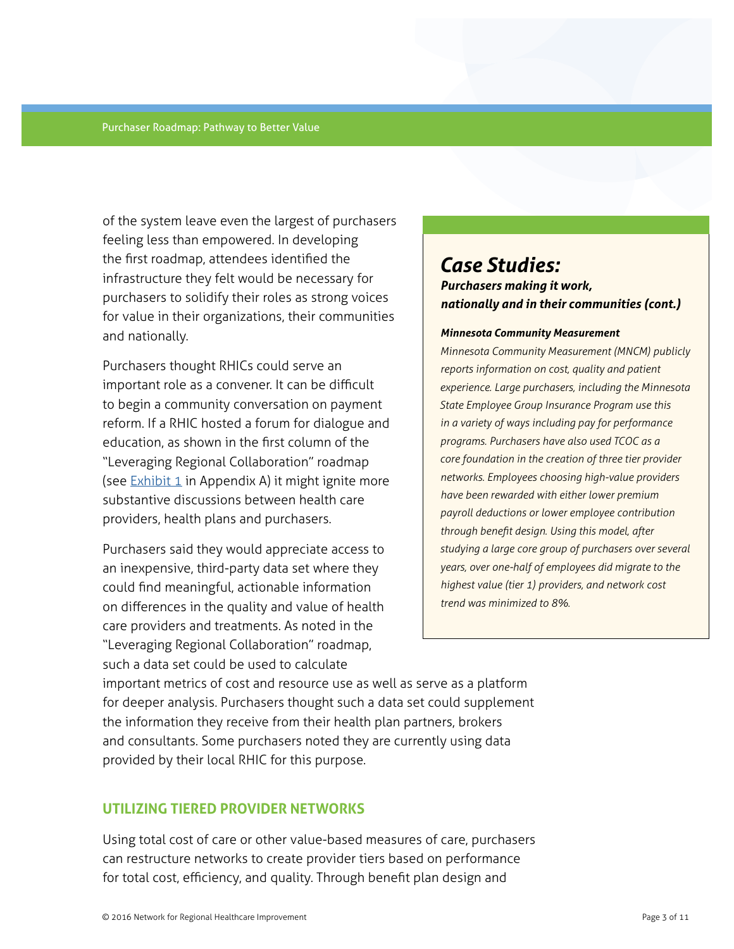of the system leave even the largest of purchasers feeling less than empowered. In developing the first roadmap, attendees identified the infrastructure they felt would be necessary for purchasers to solidify their roles as strong voices for value in their organizations, their communities and nationally.

Purchasers thought RHICs could serve an important role as a convener. It can be difficult to begin a community conversation on payment reform. If a RHIC hosted a forum for dialogue and education, as shown in the first column of the "Leveraging Regional Collaboration" roadmap (see  $Exhibit 1$  in Appendix A) it might ignite more substantive discussions between health care providers, health plans and purchasers.

Purchasers said they would appreciate access to an inexpensive, third-party data set where they could find meaningful, actionable information on differences in the quality and value of health care providers and treatments. As noted in the "Leveraging Regional Collaboration" roadmap, such a data set could be used to calculate

# *Case Studies: Purchasers making it work, nationally and in their communities (cont.)*

#### *Minnesota Community Measurement*

*Minnesota Community Measurement (MNCM) publicly reports information on cost, quality and patient experience. Large purchasers, including the Minnesota State Employee Group Insurance Program use this in a variety of ways including pay for performance programs. Purchasers have also used TCOC as a core foundation in the creation of three tier provider networks. Employees choosing high-value providers have been rewarded with either lower premium payroll deductions or lower employee contribution through benefit design. Using this model, after studying a large core group of purchasers over several years, over one-half of employees did migrate to the highest value (tier 1) providers, and network cost trend was minimized to 8%.*

important metrics of cost and resource use as well as serve as a platform for deeper analysis. Purchasers thought such a data set could supplement the information they receive from their health plan partners, brokers and consultants. Some purchasers noted they are currently using data provided by their local RHIC for this purpose.

### **UTILIZING TIERED PROVIDER NETWORKS**

Using total cost of care or other value-based measures of care, purchasers can restructure networks to create provider tiers based on performance for total cost, efficiency, and quality. Through benefit plan design and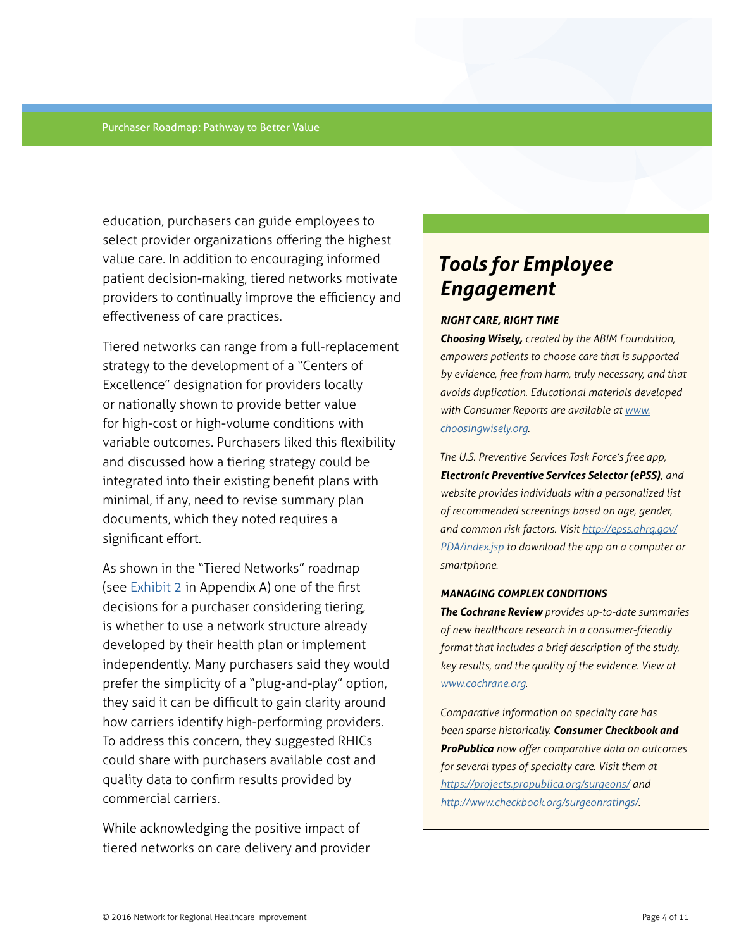education, purchasers can guide employees to select provider organizations offering the highest value care. In addition to encouraging informed patient decision-making, tiered networks motivate providers to continually improve the efficiency and effectiveness of care practices.

Tiered networks can range from a full-replacement strategy to the development of a "Centers of Excellence" designation for providers locally or nationally shown to provide better value for high-cost or high-volume conditions with variable outcomes. Purchasers liked this flexibility and discussed how a tiering strategy could be integrated into their existing benefit plans with minimal, if any, need to revise summary plan documents, which they noted requires a significant effort.

As shown in the "Tiered Networks" roadmap (see  $Exhibit 2$  in Appendix A) one of the first decisions for a purchaser considering tiering, is whether to use a network structure already developed by their health plan or implement independently. Many purchasers said they would prefer the simplicity of a "plug-and-play" option, they said it can be difficult to gain clarity around how carriers identify high-performing providers. To address this concern, they suggested RHICs could share with purchasers available cost and quality data to confirm results provided by commercial carriers.

While acknowledging the positive impact of tiered networks on care delivery and provider

# *Tools for Employee Engagement*

#### *RIGHT CARE, RIGHT TIME*

*Choosing Wisely, created by the ABIM Foundation, empowers patients to choose care that is supported by evidence, free from harm, truly necessary, and that avoids duplication. Educational materials developed with Consumer Reports are available at [www.](http://www.choosingwisely.org) [choosingwisely.org](http://www.choosingwisely.org).*

*The U.S. Preventive Services Task Force's free app, Electronic Preventive Services Selector (ePSS), and website provides individuals with a personalized list of recommended screenings based on age, gender, and common risk factors. Visit [http://epss.ahrq.gov/](http://epss.ahrq.gov/PDA/index.jsp) [PDA/index.jsp](http://epss.ahrq.gov/PDA/index.jsp) to download the app on a computer or smartphone.*

#### *MANAGING COMPLEX CONDITIONS*

*The Cochrane Review provides up-to-date summaries of new healthcare research in a consumer-friendly format that includes a brief description of the study, key results, and the quality of the evidence. View at [www.cochrane.org.](http://www.cochrane.org)*

*Comparative information on specialty care has been sparse historically. Consumer Checkbook and ProPublica now offer comparative data on outcomes for several types of specialty care. Visit them at <https://projects.propublica.org/surgeons/>and [http://www.checkbook.org/surgeonratings/.](http://www.checkbook.org/surgeonratings/)*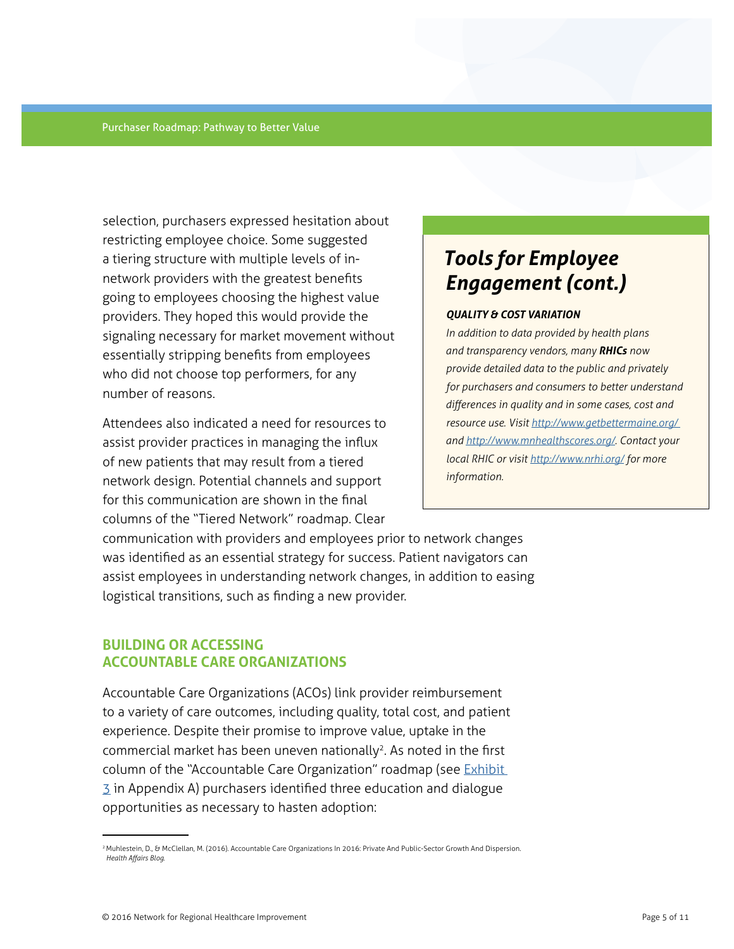selection, purchasers expressed hesitation about restricting employee choice. Some suggested a tiering structure with multiple levels of innetwork providers with the greatest benefits going to employees choosing the highest value providers. They hoped this would provide the signaling necessary for market movement without essentially stripping benefits from employees who did not choose top performers, for any number of reasons.

Attendees also indicated a need for resources to assist provider practices in managing the influx of new patients that may result from a tiered network design. Potential channels and support for this communication are shown in the final columns of the "Tiered Network" roadmap. Clear

# *Tools for Employee Engagement (cont.)*

#### *QUALITY & COST VARIATION*

*In addition to data provided by health plans and transparency vendors, many RHICs now provide detailed data to the public and privately for purchasers and consumers to better understand differences in quality and in some cases, cost and resource use. Visit [http://www.getbettermaine.org/](http://www.getbettermaine.org)  and <http://www.mnhealthscores.org/>. Contact your local RHIC or visit<http://www.nrhi.org/>for more information.* 

communication with providers and employees prior to network changes was identified as an essential strategy for success. Patient navigators can assist employees in understanding network changes, in addition to easing logistical transitions, such as finding a new provider.

# **BUILDING OR ACCESSING ACCOUNTABLE CARE ORGANIZATIONS**

Accountable Care Organizations (ACOs) link provider reimbursement to a variety of care outcomes, including quality, total cost, and patient experience. Despite their promise to improve value, uptake in the commercial market has been uneven nationally<sup>2</sup>. As noted in the first column of the "Accountable Care Organization" roadmap (see *Exhibit*  $\overline{3}$  $\overline{3}$  $\overline{3}$  in Appendix A) purchasers identified three education and dialogue opportunities as necessary to hasten adoption:

<sup>2</sup> Muhlestein, D., & McClellan, M. (2016). Accountable Care Organizations In 2016: Private And Public-Sector Growth And Dispersion. *Health Affairs Blog*.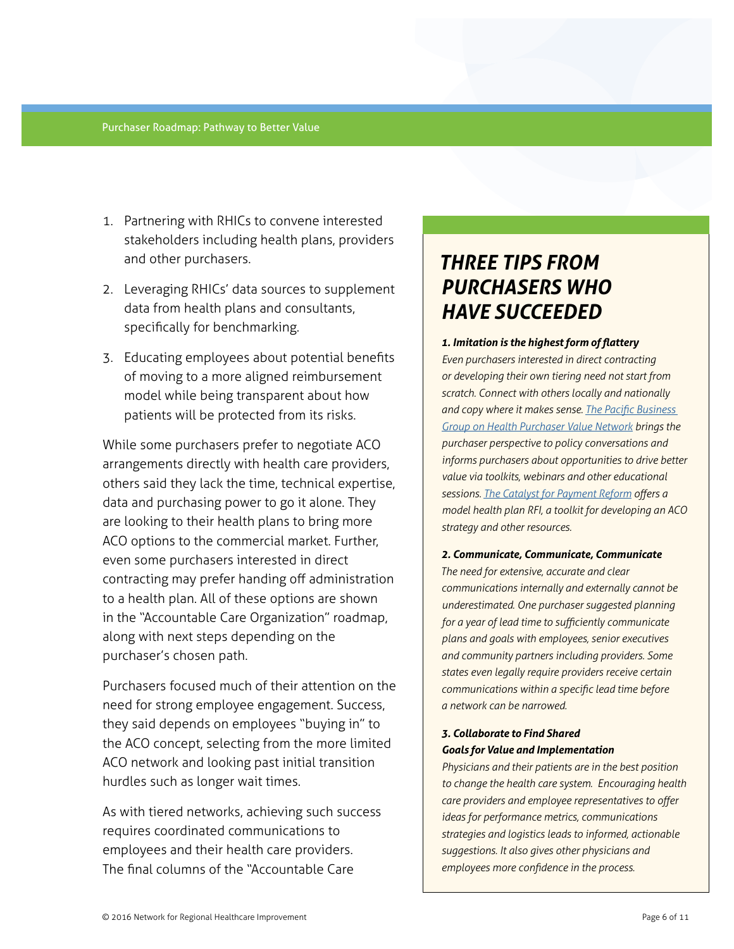- 1. Partnering with RHICs to convene interested stakeholders including health plans, providers and other purchasers.
- 2. Leveraging RHICs' data sources to supplement data from health plans and consultants, specifically for benchmarking.
- 3. Educating employees about potential benefits of moving to a more aligned reimbursement model while being transparent about how patients will be protected from its risks.

While some purchasers prefer to negotiate ACO arrangements directly with health care providers, others said they lack the time, technical expertise, data and purchasing power to go it alone. They are looking to their health plans to bring more ACO options to the commercial market. Further, even some purchasers interested in direct contracting may prefer handing off administration to a health plan. All of these options are shown in the "Accountable Care Organization" roadmap, along with next steps depending on the purchaser's chosen path.

Purchasers focused much of their attention on the need for strong employee engagement. Success, they said depends on employees "buying in" to the ACO concept, selecting from the more limited ACO network and looking past initial transition hurdles such as longer wait times.

As with tiered networks, achieving such success requires coordinated communications to employees and their health care providers. The final columns of the "Accountable Care

# *THREE TIPS FROM PURCHASERS WHO HAVE SUCCEEDED*

*1. Imitation is the highest form of flattery* 

*Even purchasers interested in direct contracting or developing their own tiering need not start from scratch. Connect with others locally and nationally and copy where it makes sense. [The Pacific Business](http://www.pbgh.org/pvn)  [Group on Health Purchaser Value Network](http://www.pbgh.org/pvn) brings the purchaser perspective to policy conversations and informs purchasers about opportunities to drive better value via toolkits, webinars and other educational sessions. [The Catalyst for Payment Reform](http://www.catalyzepaymentreform.org) offers a model health plan RFI, a toolkit for developing an ACO strategy and other resources.*

#### *2. Communicate, Communicate, Communicate*

*The need for extensive, accurate and clear communications internally and externally cannot be underestimated. One purchaser suggested planning for a year of lead time to sufficiently communicate plans and goals with employees, senior executives and community partners including providers. Some states even legally require providers receive certain communications within a specific lead time before a network can be narrowed.*

### *3. Collaborate to Find Shared Goals for Value and Implementation*

*Physicians and their patients are in the best position to change the health care system. Encouraging health care providers and employee representatives to offer ideas for performance metrics, communications strategies and logistics leads to informed, actionable suggestions. It also gives other physicians and employees more confidence in the process.*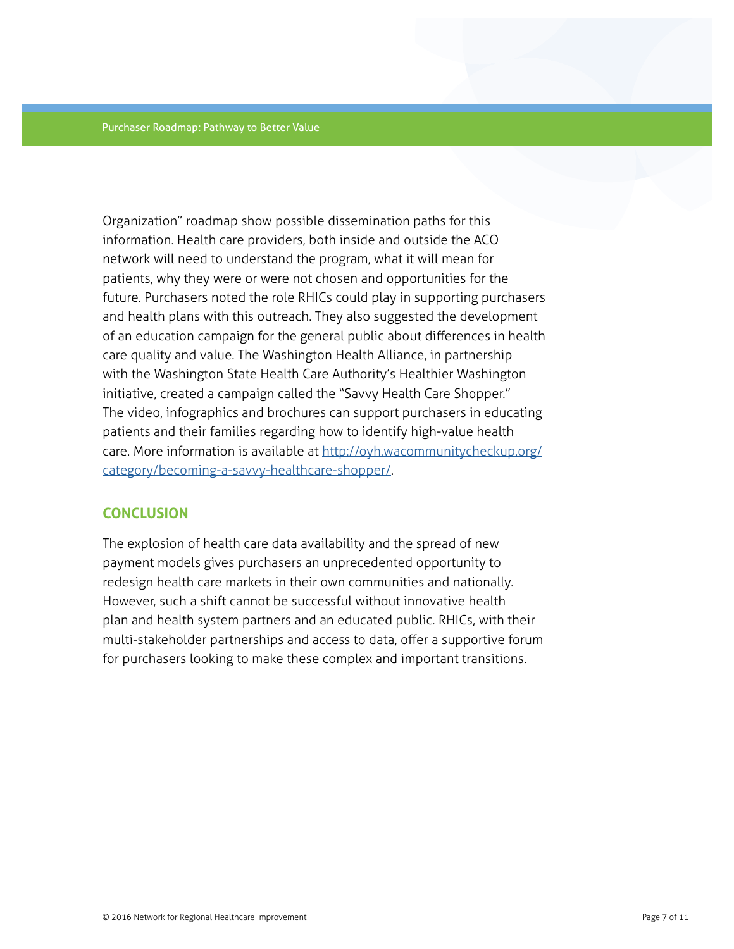Organization" roadmap show possible dissemination paths for this information. Health care providers, both inside and outside the ACO network will need to understand the program, what it will mean for patients, why they were or were not chosen and opportunities for the future. Purchasers noted the role RHICs could play in supporting purchasers and health plans with this outreach. They also suggested the development of an education campaign for the general public about differences in health care quality and value. The Washington Health Alliance, in partnership with the Washington State Health Care Authority's Healthier Washington initiative, created a campaign called the "Savvy Health Care Shopper." The video, infographics and brochures can support purchasers in educating patients and their families regarding how to identify high-value health care. More information is available at [http://oyh.wacommunitycheckup.org/](http://oyh.wacommunitycheckup.org/category/becoming-a-savvy-healthcare-shopper/) [category/becoming-a-savvy-healthcare-shopper/](http://oyh.wacommunitycheckup.org/category/becoming-a-savvy-healthcare-shopper/).

#### **CONCLUSION**

The explosion of health care data availability and the spread of new payment models gives purchasers an unprecedented opportunity to redesign health care markets in their own communities and nationally. However, such a shift cannot be successful without innovative health plan and health system partners and an educated public. RHICs, with their multi-stakeholder partnerships and access to data, offer a supportive forum for purchasers looking to make these complex and important transitions.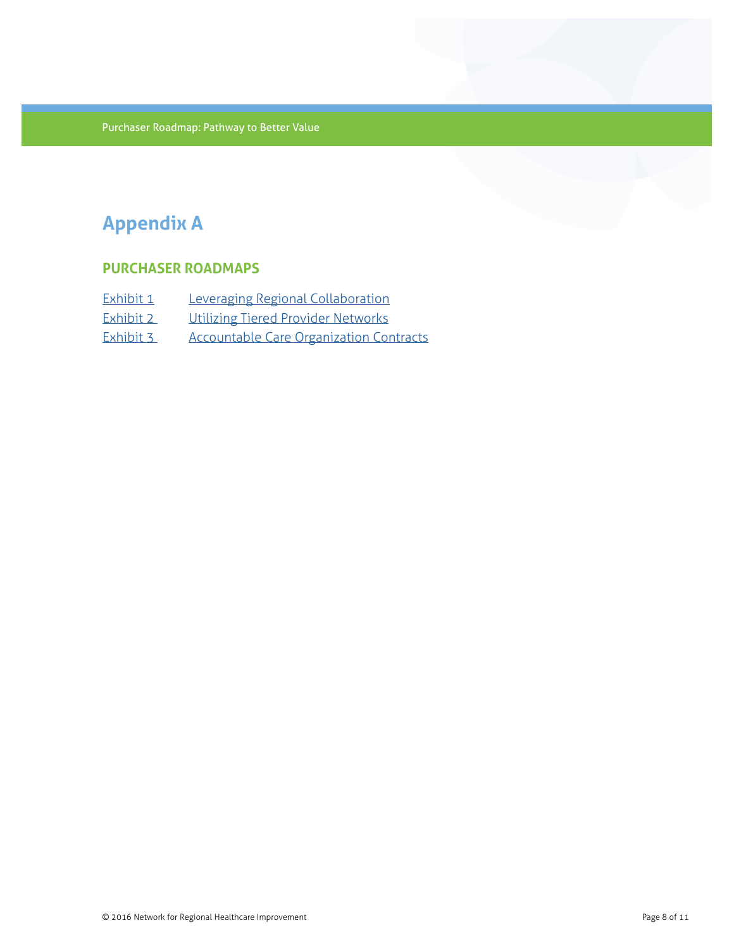# **Appendix A**

# **PURCHASER ROADMAPS**

| Exhibit 1 | Leveraging Regional Collaboration              |
|-----------|------------------------------------------------|
| Exhibit 2 | Utilizing Tiered Provider Networks             |
| Exhibit 3 | <b>Accountable Care Organization Contracts</b> |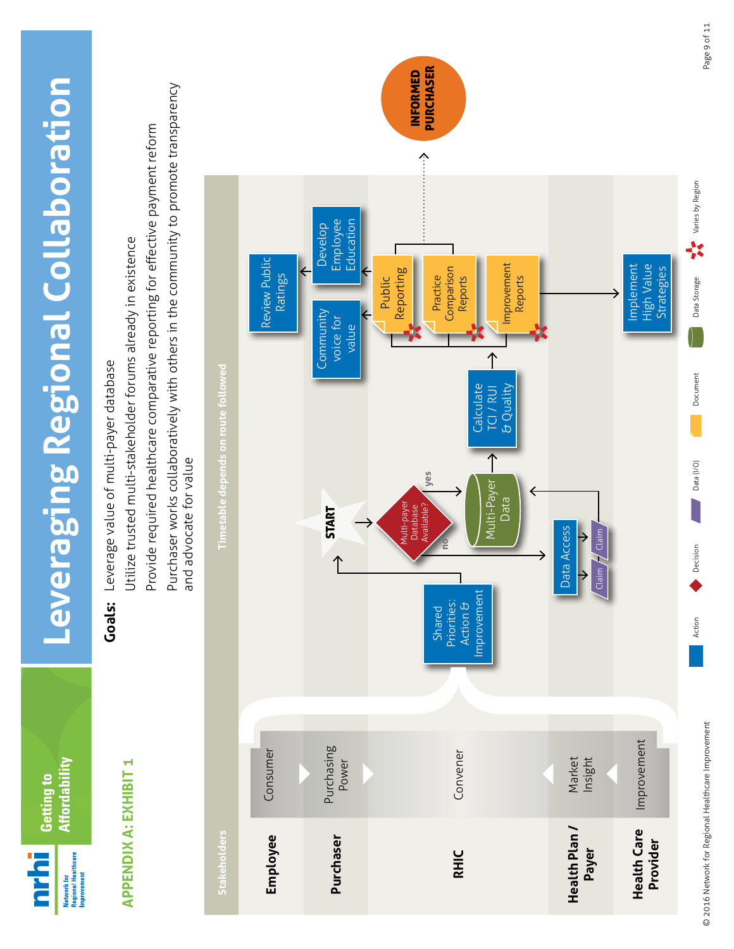<span id="page-10-0"></span>

Page 9 of 11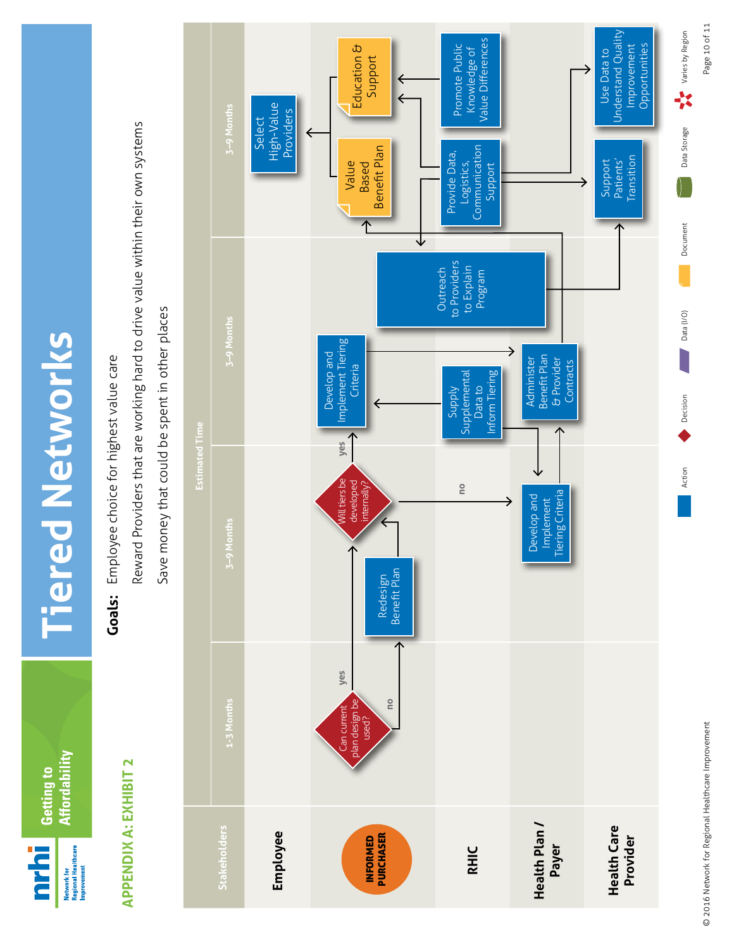Affordability Getting to Network for<br>Regional Healthcare<br>Improvement **Drin** 

**Tiered Networks Tiered Networks**

# **APPENDIX A: EXHIBIT 2 APPENDIX A: EXHIBIT 2**

Employee choice for highest value care **Goals:** Employee choice for highest value care

Reward Providers that are working hard to drive value within their own systems Reward Providers that are working hard to drive value within their own systems

<span id="page-11-0"></span>

© 2016 Network for Regional Healthcare Improvement Page 10 of 11 © 2016 Network for Regional Healthcare Improvement

Page 10 of 11

Varies by Region

Data Storage

Action Decision Decision Decision Decision Decision Decision Decision Decision Decision Decision Decision Decision

Data (I/O)

Decision

Action

**Pocument**